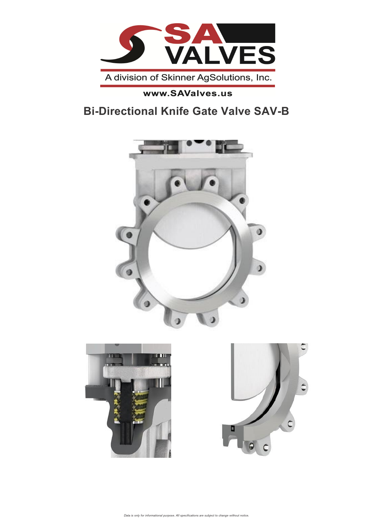

#### www.SAValves.us

# **Bi-Directional Knife Gate Valve SAV-B**



*Data is only for informational purpose. All specifications* 1 *are subject to change without notice.*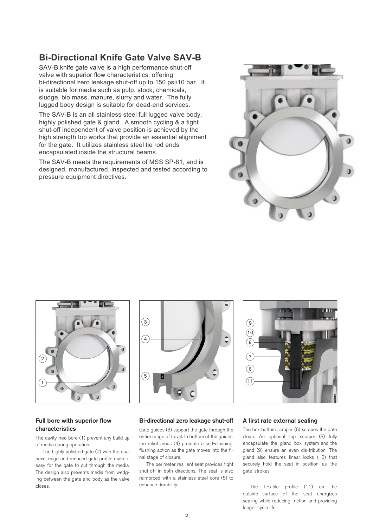#### **Bi-Directional Knife Gate Valve SAV-B**

SAV-B knife gate valve is a high performance shut-off valve with superior flow characteristics, offering bi-directional zero leakage shut-off up to 150 psi/10 bar. It is suitable for media such as pulp, stock, chemicals, sludge, bio mass, manure, slurry and water. The fully lugged body design is suitable for dead-end services.

The SAV-B is an all stainless steel full lugged valve body, highly polished gate & gland. A smooth cycling & a tight shut-off independent of valve position is achieved by the high strength top works that provide an essential alignment for the gate. It utilizes stainless steel tie rod ends encapsulated inside the structural beams.

The SAV-B meets the requirements of MSS SP-81, and is designed, manufactured, inspected and tested according to pressure equipment directives.





# 11 1 4  $\left(3\right)$ 5



#### Full bore with superior flow characteristics

The cavity free bore (1) prevent any build up of media during operation.

The highly polished gate (2) with the dual bevel edge and reduced gate profile make it easy for the gate to cut through the media. The design also prevents media from wedging between the gate and body as the valve closes.

#### Bi-directional zero leakage shut-off

Gate guides (3) support the gate through the entire range of travel. In bottom of the guides, the relief areas (4) promote a self-cleaning, flushing action as the gate moves into the final stage of closure.

The perimeter resilient seat provides tight shut-off in both directions. The seat is also reinforced with a stainless steel core (5) to enhance durability.

#### A first rate external sealing

The box bottom scraper (6) scrapes the gate clean. An optional top scraper (8) fully encapsulate the gland box system and the gland (9) ensure an even dis-tribution. The gland also features linear locks (10) that securely hold the seat in position as the gate strokes.

The flexible profile (11) on the outside surface of the seat energizes sealing while reducing friction and providing longer cycle life.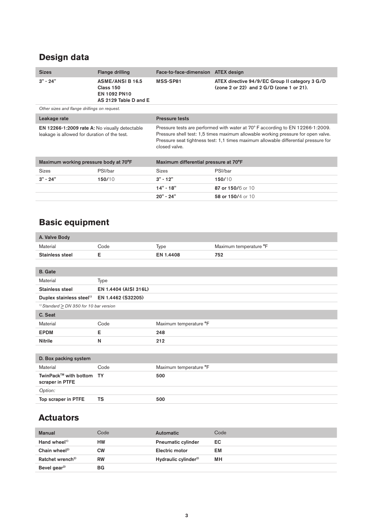## **Design data**

| <b>Sizes</b>                                                                                          | <b>Flange drilling</b>                                                      | Face-to-face-dimension ATEX design                                                                                                                                                                                                                                          |                                                                                                |  |  |  |  |  |  |
|-------------------------------------------------------------------------------------------------------|-----------------------------------------------------------------------------|-----------------------------------------------------------------------------------------------------------------------------------------------------------------------------------------------------------------------------------------------------------------------------|------------------------------------------------------------------------------------------------|--|--|--|--|--|--|
| $3" - 24"$                                                                                            | <b>ASME/ANSIB16.5</b><br>Class 150<br>EN 1092 PN10<br>AS 2129 Table D and E | MSS-SP81                                                                                                                                                                                                                                                                    | ATEX directive 94/9/EC Group II category 3 G/D<br>$(zone 2 or 22)$ and $2 G/D$ (zone 1 or 21). |  |  |  |  |  |  |
| Other sizes and flange drillings on request.                                                          |                                                                             |                                                                                                                                                                                                                                                                             |                                                                                                |  |  |  |  |  |  |
| Leakage rate                                                                                          |                                                                             | <b>Pressure tests</b>                                                                                                                                                                                                                                                       |                                                                                                |  |  |  |  |  |  |
| <b>EN 12266-1:2009 rate A: No visually detectable</b><br>leakage is allowed for duration of the test. |                                                                             | Pressure tests are performed with water at 70° F according to EN 12266-1:2009.<br>Pressure shell test: 1,5 times maximum allowable working pressure for open valve.<br>Pressure seat tightness test: 1,1 times maximum allowable differential pressure for<br>closed valve. |                                                                                                |  |  |  |  |  |  |
| Maximum working pressure body at 70°F                                                                 |                                                                             | Maximum differential pressure at 70°F                                                                                                                                                                                                                                       |                                                                                                |  |  |  |  |  |  |
| <b>Sizes</b>                                                                                          | PSI/bar                                                                     | <b>Sizes</b>                                                                                                                                                                                                                                                                | PSI/bar                                                                                        |  |  |  |  |  |  |
| $3" - 24"$                                                                                            | 150/10                                                                      | $3" - 12"$                                                                                                                                                                                                                                                                  | 150/10                                                                                         |  |  |  |  |  |  |
|                                                                                                       |                                                                             | $14" - 18"$                                                                                                                                                                                                                                                                 | 87 or 150/6 or 10                                                                              |  |  |  |  |  |  |
|                                                                                                       |                                                                             | $20" - 24"$                                                                                                                                                                                                                                                                 | 58 or 150/4 or 10                                                                              |  |  |  |  |  |  |

## **Basic equipment**

| A. Valve Body                                           |                       |                        |                        |
|---------------------------------------------------------|-----------------------|------------------------|------------------------|
| Material                                                | Code                  | Type                   | Maximum temperature °F |
| <b>Stainless steel</b>                                  | Е                     | EN 1.4408              | 752                    |
|                                                         |                       |                        |                        |
| <b>B.</b> Gate                                          |                       |                        |                        |
| Material                                                | <b>Type</b>           |                        |                        |
| <b>Stainless steel</b>                                  | EN 1.4404 (AISI 316L) |                        |                        |
| Duplex stainless steel <sup>1)</sup> EN 1.4462 (S32205) |                       |                        |                        |
| <sup>1)</sup> Standard $\geq$ DN 350 for 10 bar version |                       |                        |                        |
| C. Seat                                                 |                       |                        |                        |
| Material                                                | Code                  | Maximum temperature °F |                        |
| <b>EPDM</b>                                             | Е                     | 248                    |                        |
| <b>Nitrile</b>                                          | N                     | 212                    |                        |
|                                                         |                       |                        |                        |
| D. Box packing system                                   |                       |                        |                        |
| Material                                                | Code                  | Maximum temperature °F |                        |
| TwinPack™ with bottom TY<br>scraper in PTFE             |                       | 500                    |                        |
| Option:                                                 |                       |                        |                        |
| Top scraper in PTFE                                     | <b>TS</b>             | 500                    |                        |
|                                                         |                       |                        |                        |

## **Actuators**

| <b>Manual</b>                | Code      | <b>Automatic</b>                 | Code |
|------------------------------|-----------|----------------------------------|------|
| Hand wheel $\frac{1}{2}$     | HW        | <b>Pneumatic cylinder</b>        | EC   |
| Chain wheel <sup>2)</sup>    | СW        | Electric motor                   | EM   |
| Ratchet wrench <sup>2)</sup> | <b>RW</b> | Hydraulic cylinder <sup>2)</sup> | ΜН   |
| Bevel gear <sup>2)</sup>     | BG        |                                  |      |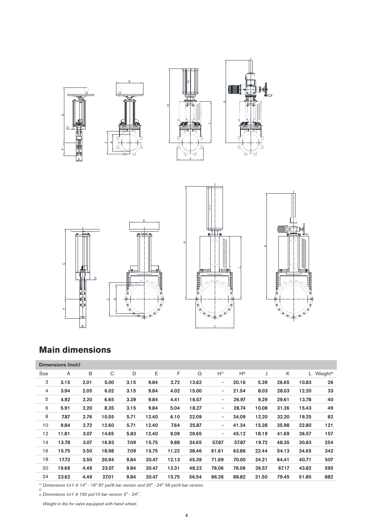



J

## **Main dimensions**

B

|      | Dimensions (inch) |      |       |      |       |       |       |                          |          |       |       |       |                      |
|------|-------------------|------|-------|------|-------|-------|-------|--------------------------|----------|-------|-------|-------|----------------------|
| Size | A                 | B    | C     | D    | E     | F     | G     | $H^{7}$                  | $H^{8)}$ | J     | K     | L.    | Weight <sup>9)</sup> |
| 3    | 3.15              | 2.01 | 5.00  | 3.15 | 9.84  | 2.72  | 13.62 | ٠                        | 20.16    | 5.39  | 26.65 | 10.83 | 26                   |
| 4    | 3.94              | 2.05 | 6.02  | 3.15 | 9.84  | 4.02  | 15.00 | ٠                        | 21.54    | 8.03  | 28.03 | 12.20 | 33                   |
| 5    | 4.92              | 2.20 | 6.65  | 3.39 | 9.84  | 4.41  | 16.57 | $\overline{\phantom{a}}$ | 26.97    | 9.29  | 29.61 | 13.78 | 40                   |
| 6    | 5.91              | 2.20 | 8.35  | 3.15 | 9.84  | 5.04  | 18.27 | ٠                        | 28.74    | 10.08 | 31.26 | 15.43 | 49                   |
| 8    | 7.87              | 2.76 | 10.55 | 5.71 | 12.40 | 6.10  | 22.09 | ٠                        | 34.09    | 12.20 | 32.20 | 19.25 | 82                   |
| 10   | 9.84              | 2.72 | 12.60 | 5.71 | 12.40 | 7.64  | 25.87 | $\overline{\phantom{a}}$ | 41.34    | 15.28 | 35.98 | 22.80 | 121                  |
| 12   | 11.81             | 3.07 | 14.65 | 5.83 | 12.40 | 9.09  | 29.65 | $\blacksquare$           | 45.12    | 18.19 | 41.69 | 26.57 | 157                  |
| 14   | 13.78             | 3.07 | 16.93 | 7.09 | 15.75 | 9.88  | 34.65 | 57.87                    | 57.87    | 19.72 | 48.35 | 30.83 | 254                  |
| 16   | 15.75             | 3.50 | 18.98 | 7.09 | 15.75 | 11.22 | 38.46 | 61.61                    | 63.86    | 22.44 | 54.13 | 34.65 | 342                  |
| 18   | 17.72             | 3.50 | 20.94 | 9.84 | 20.47 | 12.13 | 45.39 | 71.69                    | 70.00    | 24.21 | 64.41 | 40.71 | 507                  |
| 20   | 19.69             | 4.49 | 23.07 | 9.84 | 20.47 | 13.31 | 48.23 | 76.06                    | 76.06    | 26.57 | 67.17 | 43.82 | 595                  |
| 24   | 23.62             | 4.49 | 27.01 | 9.84 | 20.47 | 15.75 | 56.54 | 86.26                    | 88.82    | 31.50 | 79.45 | 51.85 | 882                  |

*7) Dimensions SAV-B 14" - 18" 87 psi/6 bar version and 20" - 24" 58 psi/4 bar version. 8)*

*9) Dimensions SAV-B 150 psi/10 bar version 3" - 24".*

*Weight in lbs for valve equipped with hand wheel.*